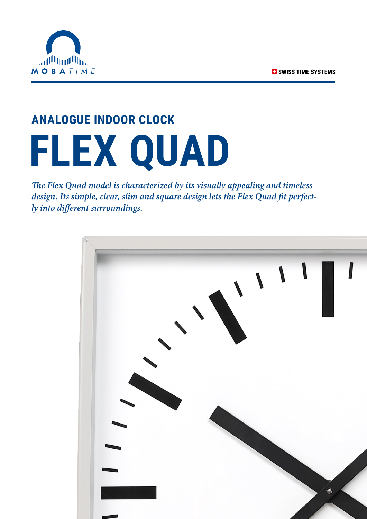

## **ANALOGUE INDOOR CLOCK FLEX QUAD**

*The Flex Quad model is characterized by its visually appealing and timeless design. Its simple, clear, slim and square design lets the Flex Quad fit perfectly into different surroundings.*

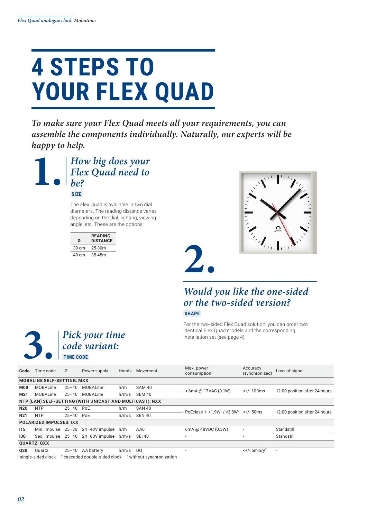### **4 STEPS TO YOUR FLEX QUAD**

*To make sure your Flex Quad meets all your requirements, you can assemble the components individually. Naturally, our experts will be happy to help.*



The Flex Quad is available in two dial diameters. The reading distance varies depending on the dial, lighting, viewing angle, etc. These are the options:

| Ø     | <b>READING</b><br><b>DISTANCE</b> |
|-------|-----------------------------------|
| 30 cm | 25-30m                            |
| 40 cm | 35-45m                            |
|       |                                   |
|       |                                   |

*code variant:*



#### *Would you like the one-sided or the two-sided version?*  **SHAPE**

For the two-sided Flex Quad solution, you can order two identical Flex Quad models and the corresponding



*02*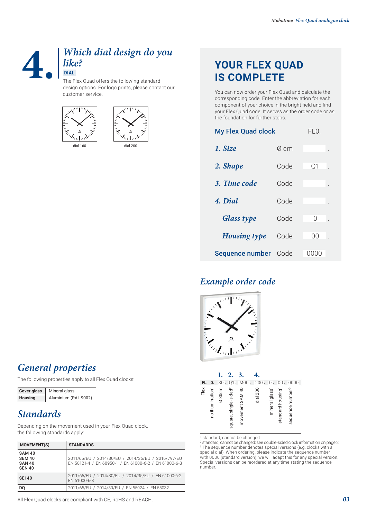#### **4.** *Which dial design do you like?*  **DIAL**

The Flex Quad offers the following standard design options. For logo prints, please contact our customer service.







### **YOUR FLEX QUAD IS COMPLETE**

You can now order your Flex Quad and calculate the corresponding code. Enter the abbreviation for each component of your choice in the bright field and find your Flex Quad code. It serves as the order code or as the foundation for further steps.

| <b>My Flex Quad clock</b> |      | FLO.            |  |
|---------------------------|------|-----------------|--|
| 1. Size                   | Ø cm |                 |  |
| 2. Shape                  | Code | Q1              |  |
| 3. Time code              | Code |                 |  |
| 4. Dial                   | Code |                 |  |
| <b>Glass type</b>         | Code | Ω               |  |
| <b>Housing type</b>       | Code | ΩO              |  |
| Sequence number           | Code | ( ) ( ) ( ) ( ) |  |

#### *Example order code*



|      |                              |                    | 2.                                | 3.              |          |                            |                  |                              |
|------|------------------------------|--------------------|-----------------------------------|-----------------|----------|----------------------------|------------------|------------------------------|
| FL   | 0.                           | 30                 | Q1                                | M00             | 200.     | 0                          | 00               | 0000                         |
| Flex | no illumination <sup>1</sup> | $\varnothing$ 30cm | square, single-sided <sup>2</sup> | movement SAM 40 | dial 200 | mineral glass <sup>1</sup> | standard housing | sequence number <sup>3</sup> |

1 standard, cannot be changed

2 standard, cannot be changed; see double-sided clock information on page 2 3 The sequence number denotes special versions (e.g. clocks with a special dial). When ordering, please indicate the sequence number with 0000 (standard version); we will adapt this for any special version. Special versions can be reordered at any time stating the sequence number.

#### *General properties*

The following properties apply to all Flex Quad clocks:

| <b>Cover glass</b> | Mineral glass        |  |
|--------------------|----------------------|--|
| <b>Housing</b>     | Aluminium (RAL 9002) |  |

#### *Standards*

Depending on the movement used in your Flex Quad clock, the following standards apply:

| <b>MOVEMENT(S)</b>                                               | <b>STANDARDS</b>                                                                                            |
|------------------------------------------------------------------|-------------------------------------------------------------------------------------------------------------|
| <b>SAM 40</b><br><b>SEM 40</b><br><b>SAN 40</b><br><b>SEN 40</b> | 2011/65/EU / 2014/30/EU / 2014/35/EU / 2016/797/EU<br>EN 50121-4 / EN 60950-1 / EN 61000-6-2 / EN 61000-6-3 |
| <b>SEI 40</b>                                                    | 2011/65/EU / 2014/30/EU / 2014/35/EU / EN 61000-6-2<br>EN 61000-6-3                                         |
| DO                                                               | 2011/65/EU / 2014/30/EU / EN 55024 / EN 55032                                                               |

All Flex Quad clocks are compliant with CE, RoHS and REACH.